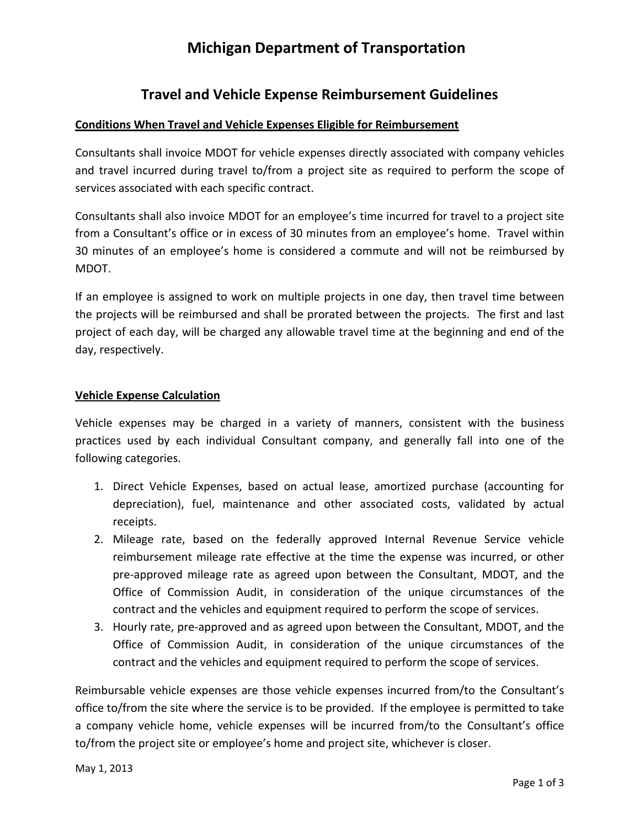## **Michigan Department of Transportation**

### **Travel and Vehicle Expense Reimbursement Guidelines**

#### **Conditions When Travel and Vehicle Expenses Eligible for Reimbursement**

Consultants shall invoice MDOT for vehicle expenses directly associated with company vehicles and travel incurred during travel to/from a project site as required to perform the scope of services associated with each specific contract.

Consultants shall also invoice MDOT for an employee's time incurred for travel to a project site from a Consultant's office or in excess of 30 minutes from an employee's home. Travel within 30 minutes of an employee's home is considered a commute and will not be reimbursed by MDOT.

If an employee is assigned to work on multiple projects in one day, then travel time between the projects will be reimbursed and shall be prorated between the projects. The first and last project of each day, will be charged any allowable travel time at the beginning and end of the day, respectively.

#### **Vehicle Expense Calculation**

Vehicle expenses may be charged in a variety of manners, consistent with the business practices used by each individual Consultant company, and generally fall into one of the following categories.

- 1. Direct Vehicle Expenses, based on actual lease, amortized purchase (accounting for depreciation), fuel, maintenance and other associated costs, validated by actual receipts.
- 2. Mileage rate, based on the federally approved Internal Revenue Service vehicle reimbursement mileage rate effective at the time the expense was incurred, or other pre‐approved mileage rate as agreed upon between the Consultant, MDOT, and the Office of Commission Audit, in consideration of the unique circumstances of the contract and the vehicles and equipment required to perform the scope of services.
- 3. Hourly rate, pre‐approved and as agreed upon between the Consultant, MDOT, and the Office of Commission Audit, in consideration of the unique circumstances of the contract and the vehicles and equipment required to perform the scope of services.

Reimbursable vehicle expenses are those vehicle expenses incurred from/to the Consultant's office to/from the site where the service is to be provided. If the employee is permitted to take a company vehicle home, vehicle expenses will be incurred from/to the Consultant's office to/from the project site or employee's home and project site, whichever is closer.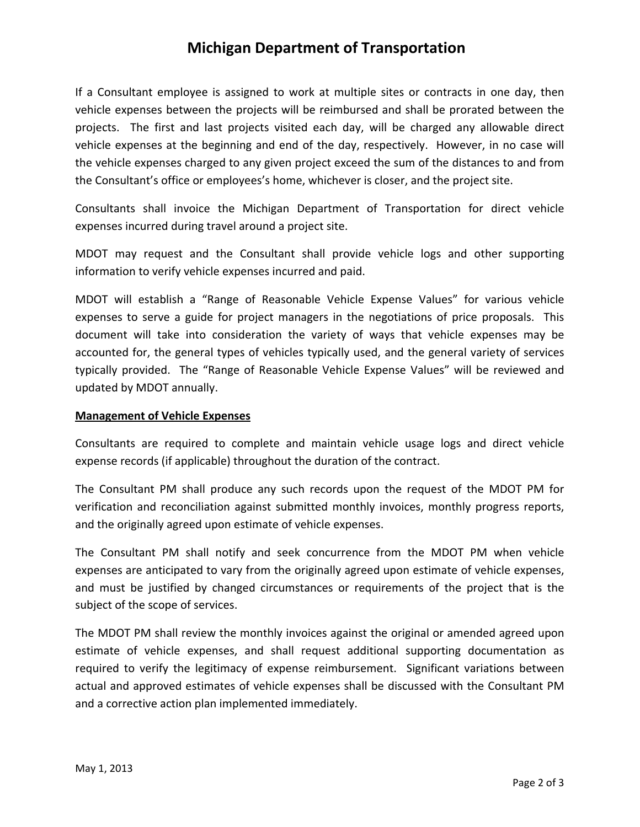### **Michigan Department of Transportation**

If a Consultant employee is assigned to work at multiple sites or contracts in one day, then vehicle expenses between the projects will be reimbursed and shall be prorated between the projects. The first and last projects visited each day, will be charged any allowable direct vehicle expenses at the beginning and end of the day, respectively. However, in no case will the vehicle expenses charged to any given project exceed the sum of the distances to and from the Consultant's office or employees's home, whichever is closer, and the project site.

Consultants shall invoice the Michigan Department of Transportation for direct vehicle expenses incurred during travel around a project site.

MDOT may request and the Consultant shall provide vehicle logs and other supporting information to verify vehicle expenses incurred and paid.

MDOT will establish a "Range of Reasonable Vehicle Expense Values" for various vehicle expenses to serve a guide for project managers in the negotiations of price proposals. This document will take into consideration the variety of ways that vehicle expenses may be accounted for, the general types of vehicles typically used, and the general variety of services typically provided. The "Range of Reasonable Vehicle Expense Values" will be reviewed and updated by MDOT annually.

#### **Management of Vehicle Expenses**

Consultants are required to complete and maintain vehicle usage logs and direct vehicle expense records (if applicable) throughout the duration of the contract.

The Consultant PM shall produce any such records upon the request of the MDOT PM for verification and reconciliation against submitted monthly invoices, monthly progress reports, and the originally agreed upon estimate of vehicle expenses.

The Consultant PM shall notify and seek concurrence from the MDOT PM when vehicle expenses are anticipated to vary from the originally agreed upon estimate of vehicle expenses, and must be justified by changed circumstances or requirements of the project that is the subject of the scope of services.

The MDOT PM shall review the monthly invoices against the original or amended agreed upon estimate of vehicle expenses, and shall request additional supporting documentation as required to verify the legitimacy of expense reimbursement. Significant variations between actual and approved estimates of vehicle expenses shall be discussed with the Consultant PM and a corrective action plan implemented immediately.